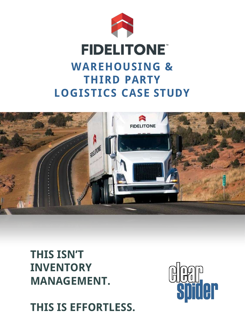

#### **FIDELITONE WAREHOUSING & THIRD PARTY LOGISTICS CASE STUDY**



**THIS ISN'T INVENTORY MANAGEMENT.**

**THIS IS EFFORTLESS.**

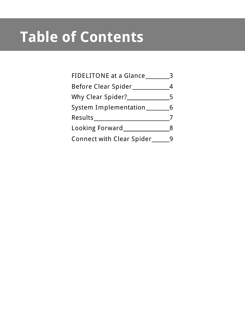## **Table of Contents**

| FIDELITONE at a Glance_          |   |
|----------------------------------|---|
| Before Clear Spider              |   |
| Why Clear Spider?                | 5 |
| System Implementation_           |   |
| Results_                         |   |
| Looking Forward                  |   |
| <b>Connect with Clear Spider</b> |   |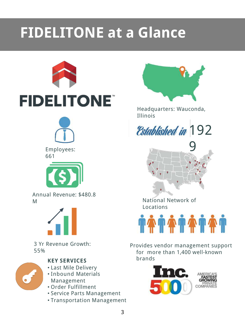## **FIDELITONE at a Glance**





#### **KEY SERVICES**

- Last Mile Delivery
- Inbound Materials Management
- Order Fulfillment
- Service Parts Management
- Transportation Management



Headquarters: Wauconda, Illinois

**Established in 192** 

9

National Network of Locations



Provides vendor management support for more than 1,400 well-known brands

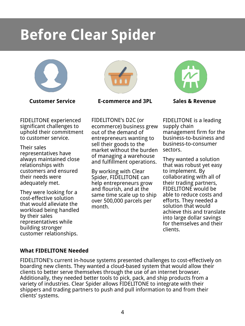#### **Before Clear Spider**



**Customer Service**

FIDELITONE experienced significant challenges to uphold their commitment to customer service.

Their sales representatives have always maintained close relationships with customers and ensured their needs were adequately met.

They were looking for a cost-effective solution that would alleviate the workload being handled by their sales representatives while building stronger customer relationships.



**E-commerce and 3PL**

FIDELITONE's D2C (or ecommerce) business grew out of the demand of entrepreneurs wanting to sell their goods to the market without the burden of managing a warehouse and fulfillment operations.

By working with Clear Spider, FIDELITONE can help entrepreneurs grow and flourish, and at the same time scale up to ship over 500,000 parcels per month.



**Sales & Revenue**

FIDELITONE is a leading supply chain management firm for the business-to-business and business-to-consumer sectors.

They wanted a solution that was robust yet easy to implement. By collaborating with all of their trading partners, FIDELITONE would be able to reduce costs and efforts. They needed a solution that would achieve this and translate into large dollar savings for themselves and their clients.

#### **What FIDELITONE Needed**

FIDELITONE's current in-house systems presented challenges to cost-effectively on boarding new clients. They wanted a cloud-based system that would allow their clients to better serve themselves through the use of an internet browser. Additionally, they needed better tools to pick, pack, and ship products from a variety of industries. Clear Spider allows FIDELITONE to integrate with their shippers and trading partners to push and pull information to and from their clients' systems.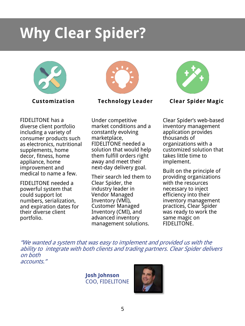### **Why Clear Spider?**





**Technology Leader**



FIDELITONE needed a powerful system that could support lot numbers, serialization, and expiration dates for their diverse client portfolio.

Under competitive market conditions and a constantly evolving marketplace, FIDELITONE needed a solution that would help them fulfill orders right away and meet their next-day delivery goal.

Their search led them to Clear Spider, the industry leader in Vendor Managed Inventory (VMI), Customer Managed Inventory (CMI), and advanced inventory management solutions.



**Clear Spider Magic**

Clear Spider's web-based inventory management application provides thousands of organizations with a customized solution that takes little time to implement.

Built on the principle of providing organizations with the resources necessary to inject efficiency into their inventory management practices, Clear Spider was ready to work the same magic on FIDELITONE.

"We wanted a system that was easy to implement and provided us with the ability to integrate with both clients and trading partners. Clear Spider delivers on both accounts."

> **Josh Johnson** COO, FIDELITONE

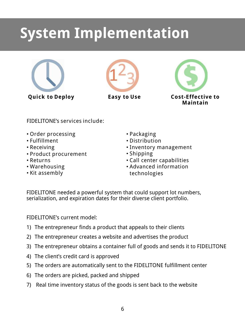#### **System Implementation**





**Easy to Use**



FIDELITONE's services include:

- Order processing
- Fulfillment
- Receiving
- Product procurement
- Returns
- Warehousing
- Kit assembly
- Packaging
- Distribution
- Inventory management
- Shipping
- Call center capabilities
- Advanced information technologies

FIDELITONE needed a powerful system that could support lot numbers, serialization, and expiration dates for their diverse client portfolio.

FIDELITONE's current model:

- 1) The entrepreneur finds a product that appeals to their clients
- 2) The entrepreneur creates a website and advertises the product
- 3) The entrepreneur obtains a container full of goods and sends it to FIDELITONE
- 4) The client's credit card is approved
- 5) The orders are automatically sent to the FIDELITONE fulfillment center
- 6) The orders are picked, packed and shipped
- 7) Real time inventory status of the goods is sent back to the website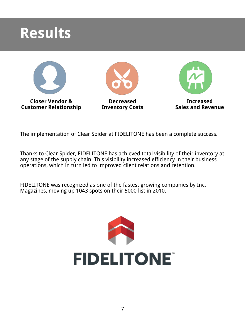#### **Results**



The implementation of Clear Spider at FIDELITONE has been a complete success.

Thanks to Clear Spider, FIDELITONE has achieved total visibility of their inventory at any stage of the supply chain. This visibility increased efficiency in their business operations, which in turn led to improved client relations and retention.

FIDELITONE was recognized as one of the fastest growing companies by Inc. Magazines, moving up 1043 spots on their 5000 list in 2010.

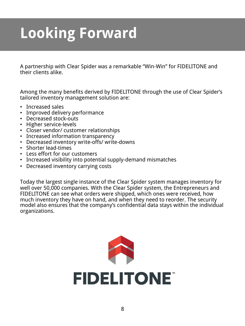# **Looking Forward**

A partnership with Clear Spider was a remarkable "Win-Win" for FIDELITONE and their clients alike.

Among the many benefits derived by FIDELITONE through the use of Clear Spider's tailored inventory management solution are:

- Increased sales
- Improved delivery performance
- Decreased stock-outs
- Higher service-levels
- Closer vendor/ customer relationships
- Increased information transparency
- Decreased inventory write-offs/ write-downs
- Shorter lead-times
- Less effort for our customers
- Increased visibility into potential supply-demand mismatches
- Decreased inventory carrying costs

Today the largest single instance of the Clear Spider system manages inventory for well over 50,000 companies. With the Clear Spider system, the Entrepreneurs and FIDELITONE can see what orders were shipped, which ones were received, how much inventory they have on hand, and when they need to reorder. The security model also ensures that the company's confidential data stays within the individual organizations.